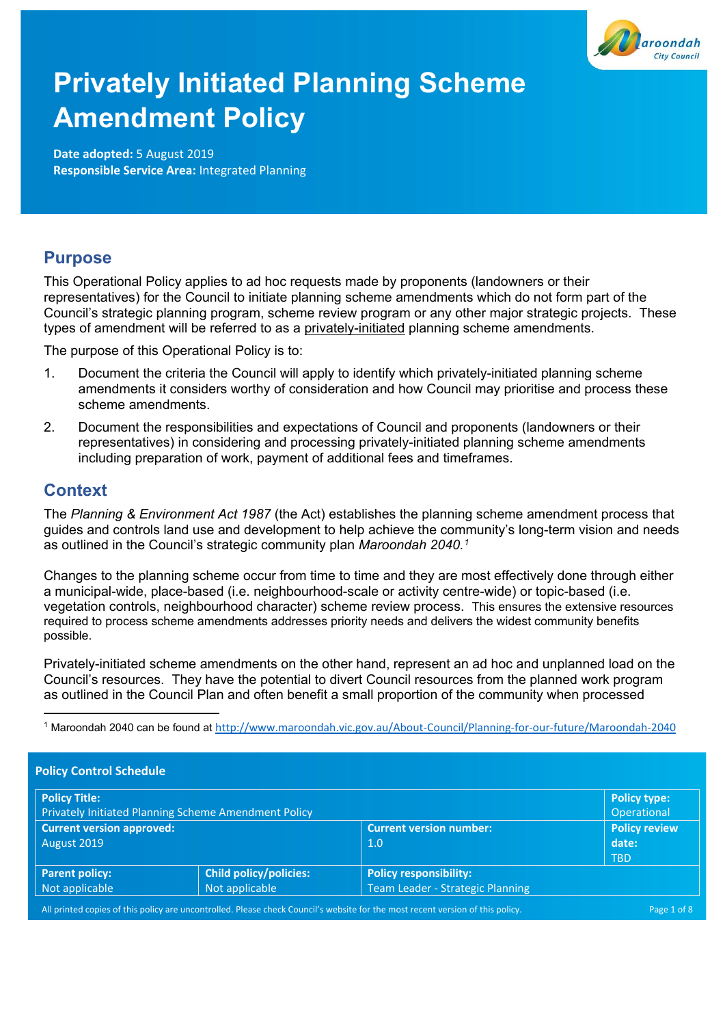

# **Privately Initiated Planning Scheme Amendment Policy**

**Date adopted:** 5 August 2019 **Responsible Service Area:** Integrated Planning

# **Purpose**

This Operational Policy applies to ad hoc requests made by proponents (landowners or their representatives) for the Council to initiate planning scheme amendments which do not form part of the Council's strategic planning program, scheme review program or any other major strategic projects. These types of amendment will be referred to as a privately-initiated planning scheme amendments.

The purpose of this Operational Policy is to:

- 1. Document the criteria the Council will apply to identify which privately-initiated planning scheme amendments it considers worthy of consideration and how Council may prioritise and process these scheme amendments.
- 2. Document the responsibilities and expectations of Council and proponents (landowners or their representatives) in considering and processing privately-initiated planning scheme amendments including preparation of work, payment of additional fees and timeframes.

# **Context**

<u>.</u>

The *Planning & Environment Act 1987* (the Act) establishes the planning scheme amendment process that guides and controls land use and development to help achieve the community's long-term vision and needs as outlined in the Council's strategic community plan *Maroondah 2040.[1](#page-0-0)*

Changes to the planning scheme occur from time to time and they are most effectively done through either a municipal-wide, place-based (i.e. neighbourhood-scale or activity centre-wide) or topic-based (i.e. vegetation controls, neighbourhood character) scheme review process. This ensures the extensive resources required to process scheme amendments addresses priority needs and delivers the widest community benefits possible.

Privately-initiated scheme amendments on the other hand, represent an ad hoc and unplanned load on the Council's resources. They have the potential to divert Council resources from the planned work program as outlined in the Council Plan and often benefit a small proportion of the community when processed

<span id="page-0-0"></span><sup>1</sup> Maroondah 2040 can be found at <http://www.maroondah.vic.gov.au/About-Council/Planning-for-our-future/Maroondah-2040>

| <b>Policy Control Schedule</b><br><b>Policy Title:</b>                                                                         |                               |                                  | Policy type:         |
|--------------------------------------------------------------------------------------------------------------------------------|-------------------------------|----------------------------------|----------------------|
| <b>Privately Initiated Planning Scheme Amendment Policy</b>                                                                    |                               |                                  | Operational          |
| <b>Current version approved:</b>                                                                                               |                               | <b>Current version number:</b>   | <b>Policy review</b> |
| August 2019                                                                                                                    |                               | 1.0                              | date:                |
|                                                                                                                                |                               |                                  | <b>TBD</b>           |
| <b>Parent policy:</b>                                                                                                          | <b>Child policy/policies:</b> | <b>Policy responsibility:</b>    |                      |
| Not applicable                                                                                                                 | Not applicable                | Team Leader - Strategic Planning |                      |
| All printed copies of this policy are uncontrolled. Please check Council's website for the most recent version of this policy. |                               |                                  | Page 1 of 8          |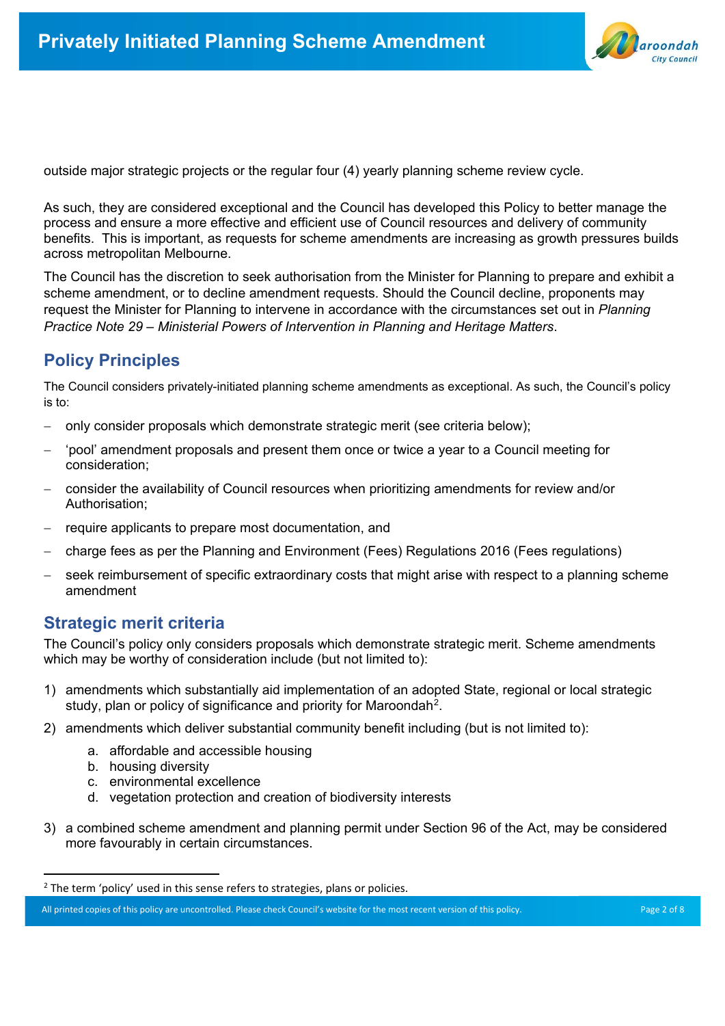

outside major strategic projects or the regular four (4) yearly planning scheme review cycle.

As such, they are considered exceptional and the Council has developed this Policy to better manage the process and ensure a more effective and efficient use of Council resources and delivery of community benefits. This is important, as requests for scheme amendments are increasing as growth pressures builds across metropolitan Melbourne.

The Council has the discretion to seek authorisation from the Minister for Planning to prepare and exhibit a scheme amendment, or to decline amendment requests. Should the Council decline, proponents may request the Minister for Planning to intervene in accordance with the circumstances set out in *Planning Practice Note 29 – Ministerial Powers of Intervention in Planning and Heritage Matters*.

# **Policy Principles**

The Council considers privately-initiated planning scheme amendments as exceptional. As such, the Council's policy is to:

- − only consider proposals which demonstrate strategic merit (see criteria below);
- − 'pool' amendment proposals and present them once or twice a year to a Council meeting for consideration;
- − consider the availability of Council resources when prioritizing amendments for review and/or Authorisation;
- − require applicants to prepare most documentation, and
- − charge fees as per the Planning and Environment (Fees) Regulations 2016 (Fees regulations)
- seek reimbursement of specific extraordinary costs that might arise with respect to a planning scheme amendment

# **Strategic merit criteria**

The Council's policy only considers proposals which demonstrate strategic merit. Scheme amendments which may be worthy of consideration include (but not limited to):

- 1) amendments which substantially aid implementation of an adopted State, regional or local strategic study, plan or policy of significance and priority for Maroondah<sup>[2](#page-1-0)</sup>.
- 2) amendments which deliver substantial community benefit including (but is not limited to):
	- a. affordable and accessible housing
	- b. housing diversity
	- c. environmental excellence
	- d. vegetation protection and creation of biodiversity interests
- 3) a combined scheme amendment and planning permit under Section 96 of the Act, may be considered more favourably in certain circumstances.

<span id="page-1-0"></span><sup>&</sup>lt;sup>2</sup> The term 'policy' used in this sense refers to strategies, plans or policies.

All printed copies of this policy are uncontrolled. Please check Council's website for the most recent version of this policy. Page 2 of 8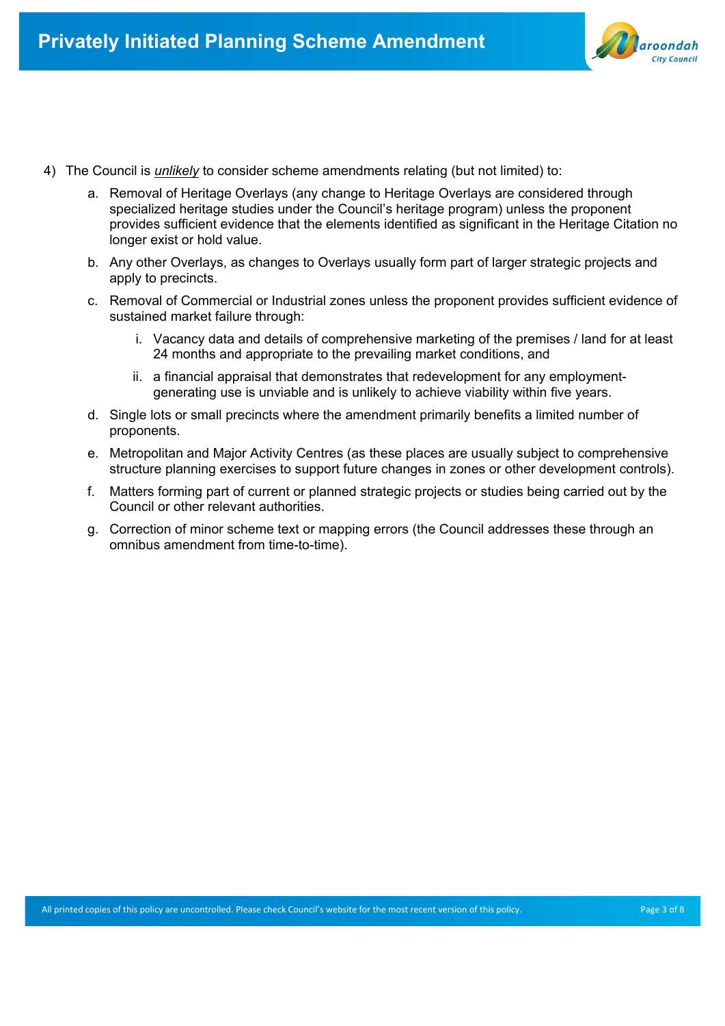

- 4) The Council is *unlikely* to consider scheme amendments relating (but not limited) to:
	- a. Removal of Heritage Overlays (any change to Heritage Overlays are considered through specialized heritage studies under the Council's heritage program) unless the proponent provides sufficient evidence that the elements identified as significant in the Heritage Citation no longer exist or hold value.
	- b. Any other Overlays, as changes to Overlays usually form part of larger strategic projects and apply to precincts.
	- c. Removal of Commercial or Industrial zones unless the proponent provides sufficient evidence of sustained market failure through:
		- i. Vacancy data and details of comprehensive marketing of the premises / land for at least 24 months and appropriate to the prevailing market conditions, and
		- ii. a financial appraisal that demonstrates that redevelopment for any employmentgenerating use is unviable and is unlikely to achieve viability within five years.
	- d. Single lots or small precincts where the amendment primarily benefits a limited number of proponents.
	- e. Metropolitan and Major Activity Centres (as these places are usually subject to comprehensive structure planning exercises to support future changes in zones or other development controls).
	- f. Matters forming part of current or planned strategic projects or studies being carried out by the Council or other relevant authorities.
	- g. Correction of minor scheme text or mapping errors (the Council addresses these through an omnibus amendment from time-to-time).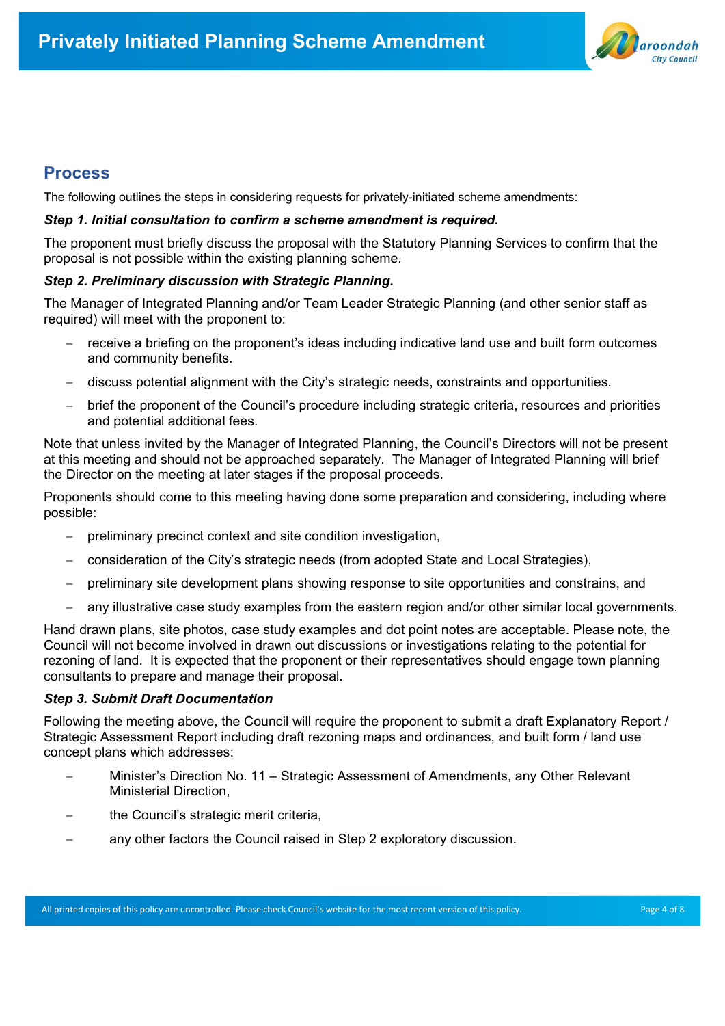

## **Process**

The following outlines the steps in considering requests for privately-initiated scheme amendments:

#### *Step 1. Initial consultation to confirm a scheme amendment is required.*

The proponent must briefly discuss the proposal with the Statutory Planning Services to confirm that the proposal is not possible within the existing planning scheme.

#### *Step 2. Preliminary discussion with Strategic Planning.*

The Manager of Integrated Planning and/or Team Leader Strategic Planning (and other senior staff as required) will meet with the proponent to:

- receive a briefing on the proponent's ideas including indicative land use and built form outcomes and community benefits.
- − discuss potential alignment with the City's strategic needs, constraints and opportunities.
- − brief the proponent of the Council's procedure including strategic criteria, resources and priorities and potential additional fees.

Note that unless invited by the Manager of Integrated Planning, the Council's Directors will not be present at this meeting and should not be approached separately. The Manager of Integrated Planning will brief the Director on the meeting at later stages if the proposal proceeds.

Proponents should come to this meeting having done some preparation and considering, including where possible:

- preliminary precinct context and site condition investigation,
- − consideration of the City's strategic needs (from adopted State and Local Strategies),
- − preliminary site development plans showing response to site opportunities and constrains, and
- any illustrative case study examples from the eastern region and/or other similar local governments.

Hand drawn plans, site photos, case study examples and dot point notes are acceptable. Please note, the Council will not become involved in drawn out discussions or investigations relating to the potential for rezoning of land. It is expected that the proponent or their representatives should engage town planning consultants to prepare and manage their proposal.

#### *Step 3. Submit Draft Documentation*

Following the meeting above, the Council will require the proponent to submit a draft Explanatory Report / Strategic Assessment Report including draft rezoning maps and ordinances, and built form / land use concept plans which addresses:

- − Minister's Direction No. 11 Strategic Assessment of Amendments, any Other Relevant Ministerial Direction,
- the Council's strategic merit criteria,
- any other factors the Council raised in Step 2 exploratory discussion.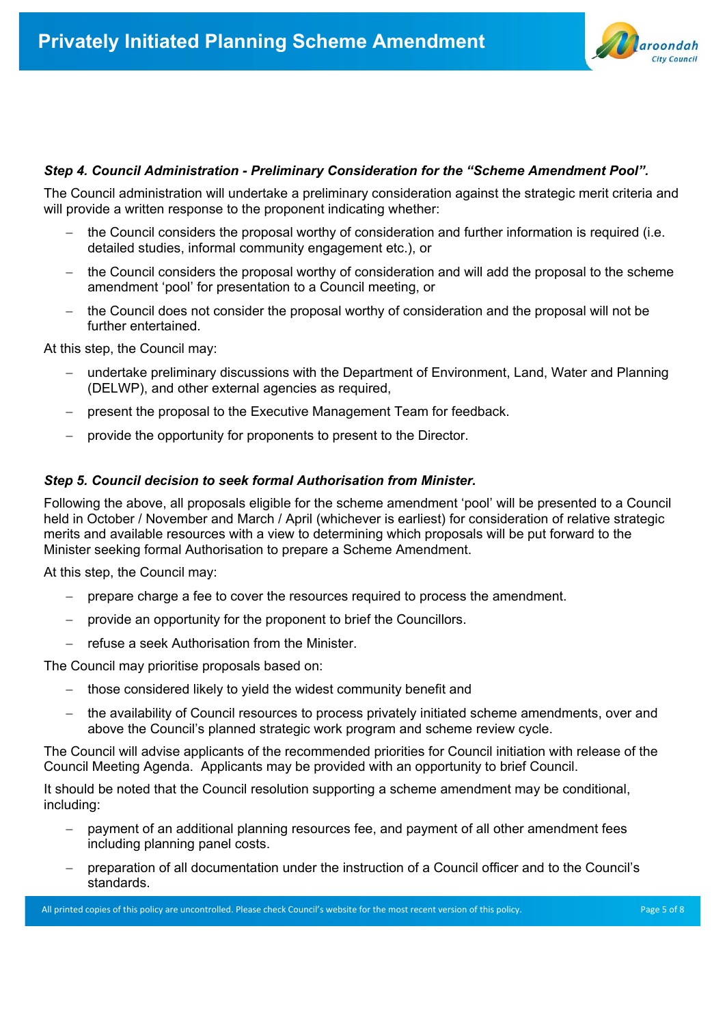

#### *Step 4. Council Administration - Preliminary Consideration for the "Scheme Amendment Pool".*

The Council administration will undertake a preliminary consideration against the strategic merit criteria and will provide a written response to the proponent indicating whether:

- the Council considers the proposal worthy of consideration and further information is required (i.e. detailed studies, informal community engagement etc.), or
- the Council considers the proposal worthy of consideration and will add the proposal to the scheme amendment 'pool' for presentation to a Council meeting, or
- the Council does not consider the proposal worthy of consideration and the proposal will not be further entertained.

At this step, the Council may:

- − undertake preliminary discussions with the Department of Environment, Land, Water and Planning (DELWP), and other external agencies as required,
- present the proposal to the Executive Management Team for feedback.
- − provide the opportunity for proponents to present to the Director.

#### *Step 5. Council decision to seek formal Authorisation from Minister.*

Following the above, all proposals eligible for the scheme amendment 'pool' will be presented to a Council held in October / November and March / April (whichever is earliest) for consideration of relative strategic merits and available resources with a view to determining which proposals will be put forward to the Minister seeking formal Authorisation to prepare a Scheme Amendment.

At this step, the Council may:

- − prepare charge a fee to cover the resources required to process the amendment.
- provide an opportunity for the proponent to brief the Councillors.
- refuse a seek Authorisation from the Minister.

The Council may prioritise proposals based on:

- those considered likely to yield the widest community benefit and
- the availability of Council resources to process privately initiated scheme amendments, over and above the Council's planned strategic work program and scheme review cycle.

The Council will advise applicants of the recommended priorities for Council initiation with release of the Council Meeting Agenda. Applicants may be provided with an opportunity to brief Council.

It should be noted that the Council resolution supporting a scheme amendment may be conditional, including:

- payment of an additional planning resources fee, and payment of all other amendment fees including planning panel costs.
- − preparation of all documentation under the instruction of a Council officer and to the Council's standards.

All printed copies of this policy are uncontrolled. Please check Council's website for the most recent version of this policy. Page 5 of 8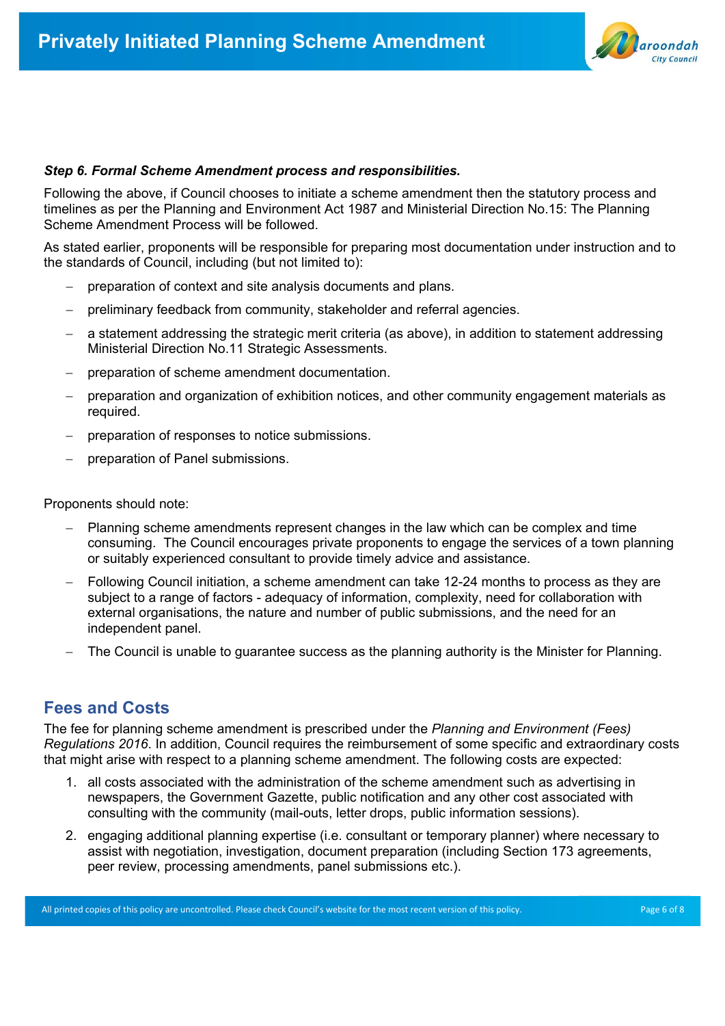

#### *Step 6. Formal Scheme Amendment process and responsibilities.*

Following the above, if Council chooses to initiate a scheme amendment then the statutory process and timelines as per the Planning and Environment Act 1987 and Ministerial Direction No.15: The Planning Scheme Amendment Process will be followed.

As stated earlier, proponents will be responsible for preparing most documentation under instruction and to the standards of Council, including (but not limited to):

- − preparation of context and site analysis documents and plans.
- preliminary feedback from community, stakeholder and referral agencies.
- a statement addressing the strategic merit criteria (as above), in addition to statement addressing Ministerial Direction No.11 Strategic Assessments.
- − preparation of scheme amendment documentation.
- preparation and organization of exhibition notices, and other community engagement materials as required.
- − preparation of responses to notice submissions.
- − preparation of Panel submissions.

Proponents should note:

- − Planning scheme amendments represent changes in the law which can be complex and time consuming. The Council encourages private proponents to engage the services of a town planning or suitably experienced consultant to provide timely advice and assistance.
- − Following Council initiation, a scheme amendment can take 12-24 months to process as they are subject to a range of factors - adequacy of information, complexity, need for collaboration with external organisations, the nature and number of public submissions, and the need for an independent panel.
- The Council is unable to guarantee success as the planning authority is the Minister for Planning.

## **Fees and Costs**

The fee for planning scheme amendment is prescribed under the *Planning and Environment (Fees) Regulations 2016*. In addition, Council requires the reimbursement of some specific and extraordinary costs that might arise with respect to a planning scheme amendment. The following costs are expected:

- 1. all costs associated with the administration of the scheme amendment such as advertising in newspapers, the Government Gazette, public notification and any other cost associated with consulting with the community (mail-outs, letter drops, public information sessions).
- 2. engaging additional planning expertise (i.e. consultant or temporary planner) where necessary to assist with negotiation, investigation, document preparation (including Section 173 agreements, peer review, processing amendments, panel submissions etc.).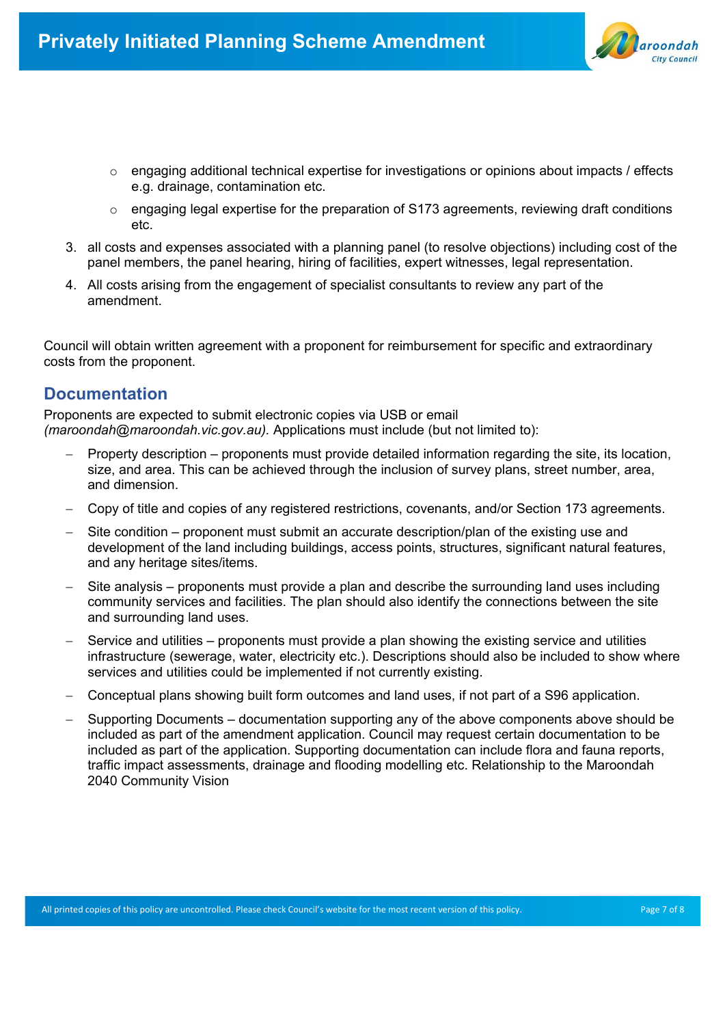

- $\circ$  engaging additional technical expertise for investigations or opinions about impacts / effects e.g. drainage, contamination etc.
- $\circ$  engaging legal expertise for the preparation of S173 agreements, reviewing draft conditions etc.
- 3. all costs and expenses associated with a planning panel (to resolve objections) including cost of the panel members, the panel hearing, hiring of facilities, expert witnesses, legal representation.
- 4. All costs arising from the engagement of specialist consultants to review any part of the amendment.

Council will obtain written agreement with a proponent for reimbursement for specific and extraordinary costs from the proponent.

## **Documentation**

Proponents are expected to submit electronic copies via USB or email *(maroondah@maroondah.vic.gov.au).* Applications must include (but not limited to):

- − Property description proponents must provide detailed information regarding the site, its location, size, and area. This can be achieved through the inclusion of survey plans, street number, area, and dimension.
- − Copy of title and copies of any registered restrictions, covenants, and/or Section 173 agreements.
- Site condition proponent must submit an accurate description/plan of the existing use and development of the land including buildings, access points, structures, significant natural features, and any heritage sites/items.
- Site analysis proponents must provide a plan and describe the surrounding land uses including community services and facilities. The plan should also identify the connections between the site and surrounding land uses.
- Service and utilities proponents must provide a plan showing the existing service and utilities infrastructure (sewerage, water, electricity etc.). Descriptions should also be included to show where services and utilities could be implemented if not currently existing.
- − Conceptual plans showing built form outcomes and land uses, if not part of a S96 application.
- − Supporting Documents documentation supporting any of the above components above should be included as part of the amendment application. Council may request certain documentation to be included as part of the application. Supporting documentation can include flora and fauna reports, traffic impact assessments, drainage and flooding modelling etc. Relationship to the Maroondah 2040 Community Vision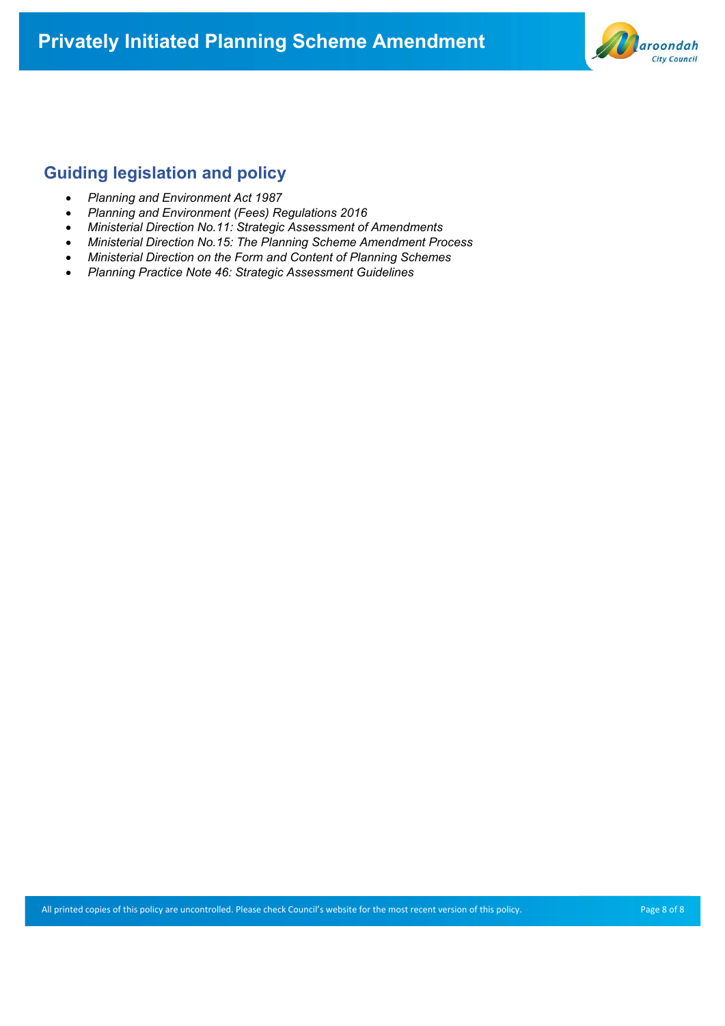# **Privately Initiated Planning Scheme Amendment**



# **Guiding legislation and policy**

- *Planning and Environment Act 1987*
- *Planning and Environment (Fees) Regulations 2016*
- *Ministerial Direction No.11: Strategic Assessment of Amendments*
- *Ministerial Direction No.15: The Planning Scheme Amendment Process*
- *Ministerial Direction on the Form and Content of Planning Schemes*
- *Planning Practice Note 46: Strategic Assessment Guidelines*